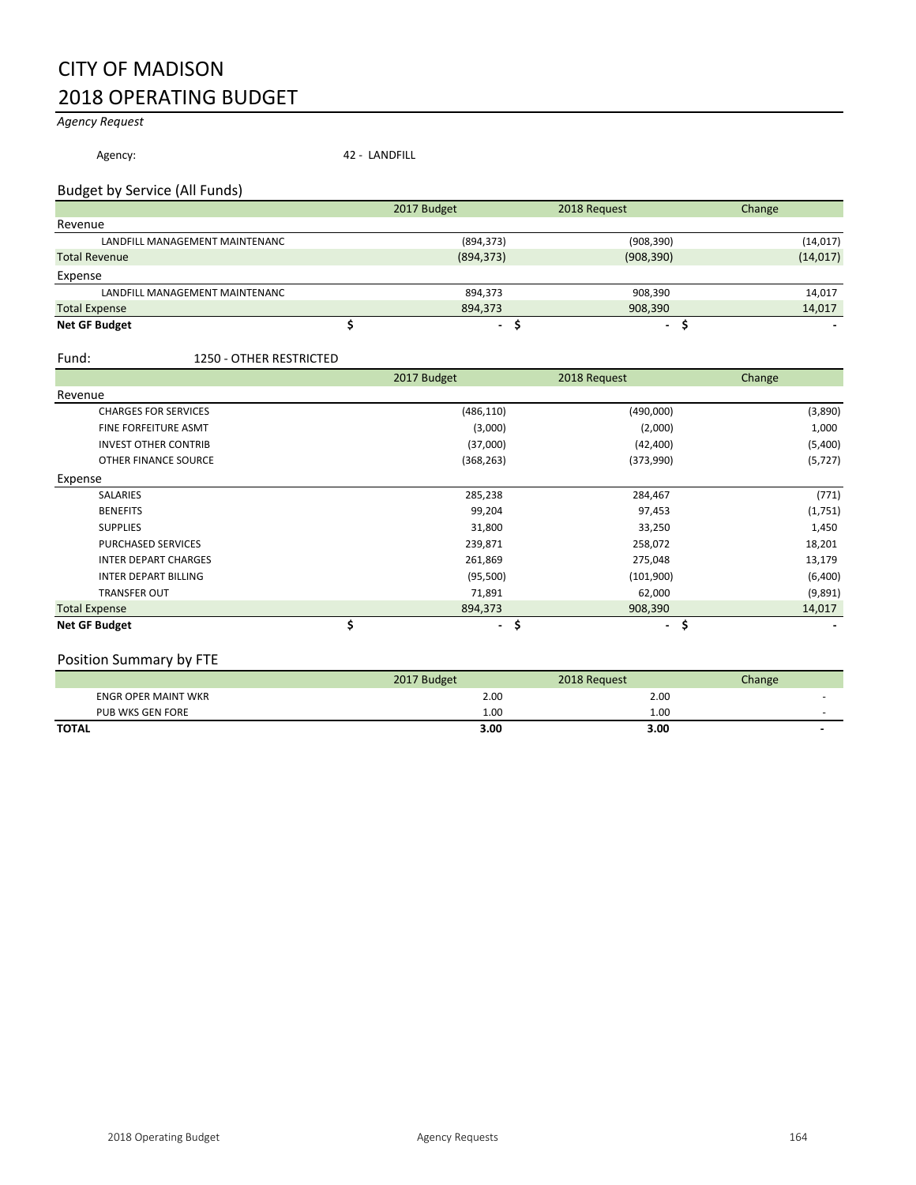## CITY OF MADISON 2018 OPERATING BUDGET

### *Agency Request*

Agency: 42 - LANDFILL

#### Budget by Service (All Funds)

|                                | 2017 Budget              | 2018 Request             | Change    |
|--------------------------------|--------------------------|--------------------------|-----------|
| Revenue                        |                          |                          |           |
| LANDFILL MANAGEMENT MAINTENANC | (894, 373)               | (908, 390)               | (14,017)  |
| <b>Total Revenue</b>           | (894, 373)               | (908, 390)               | (14, 017) |
| Expense                        |                          |                          |           |
| LANDFILL MANAGEMENT MAINTENANC | 894,373                  | 908,390                  | 14,017    |
| <b>Total Expense</b>           | 894.373                  | 908,390                  | 14,017    |
| <b>Net GF Budget</b>           | $\overline{\phantom{a}}$ | $\overline{\phantom{a}}$ |           |

#### Fund: 1250 - OTHER RESTRICTED

|                             | 2017 Budget          | 2018 Request          | Change   |
|-----------------------------|----------------------|-----------------------|----------|
| Revenue                     |                      |                       |          |
| <b>CHARGES FOR SERVICES</b> | (486, 110)           | (490,000)             | (3,890)  |
| <b>FINE FORFEITURE ASMT</b> | (3,000)              | (2,000)               | 1,000    |
| <b>INVEST OTHER CONTRIB</b> | (37,000)             | (42, 400)             | (5,400)  |
| OTHER FINANCE SOURCE        | (368, 263)           | (373,990)             | (5, 727) |
| Expense                     |                      |                       |          |
| <b>SALARIES</b>             | 285,238              | 284,467               | (771)    |
| <b>BENEFITS</b>             | 99,204               | 97,453                | (1,751)  |
| <b>SUPPLIES</b>             | 31,800               | 33,250                | 1,450    |
| <b>PURCHASED SERVICES</b>   | 239,871              | 258,072               | 18,201   |
| <b>INTER DEPART CHARGES</b> | 261,869              | 275,048               | 13,179   |
| <b>INTER DEPART BILLING</b> | (95, 500)            | (101,900)             | (6,400)  |
| <b>TRANSFER OUT</b>         | 71,891               | 62,000                | (9,891)  |
| <b>Total Expense</b>        | 894,373              | 908,390               | 14,017   |
| <b>Net GF Budget</b>        | \$<br>$\blacksquare$ | \$.<br>$\blacksquare$ | \$       |

#### Position Summary by FTE

|                            | 2017 Budget | 2018 Request | Change                   |
|----------------------------|-------------|--------------|--------------------------|
| <b>ENGR OPER MAINT WKR</b> | 2.00        | 2.00         |                          |
| PUB WKS GEN FORE           | 1.00        | 1.00         |                          |
| <b>TOTAL</b>               | 3.00        | 3.00         | $\overline{\phantom{0}}$ |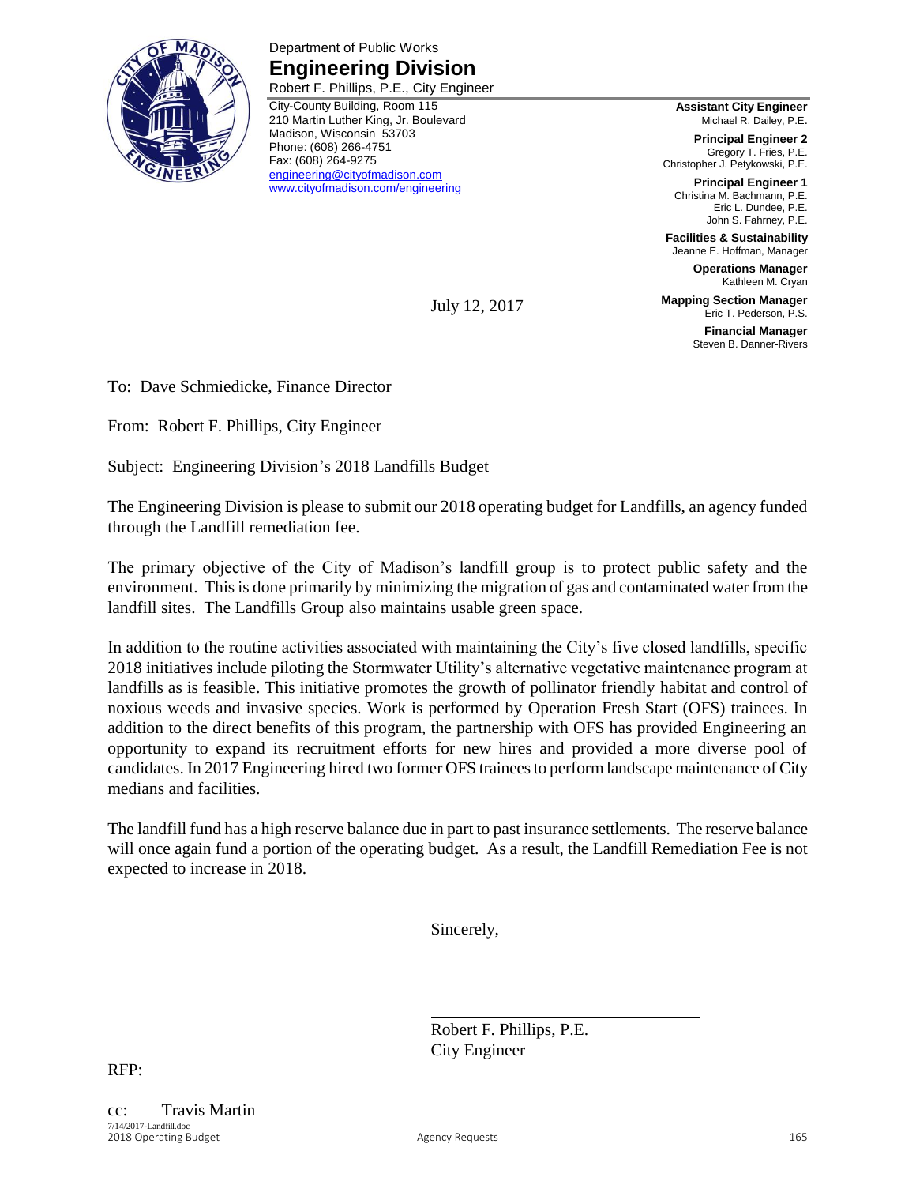

Department of Public Works **Engineering Division** Robert F. Phillips, P.E., City Engineer

City-County Building, Room 115 210 Martin Luther King, Jr. Boulevard Madison, Wisconsin 53703 Phone: (608) 266-4751 Fax: (608) 264-9275 [engineering@cityofmadison.com](mailto:engineering@cityofmadison.com) [www.cityofmadison.com/engineering](http://www.cityofmadison.com/engineering)

**Assistant City Engineer** Michael R. Dailey, P.E.

**Principal Engineer 2** Gregory T. Fries, P.E. Christopher J. Petykowski, P.E.

**Principal Engineer 1** Christina M. Bachmann, P.E. Eric L. Dundee, P.E. John S. Fahrney, P.E.

**Facilities & Sustainability** Jeanne E. Hoffman, Manager

**Operations Manager** Kathleen M. Cryan

**Mapping Section Manager** Eric T. Pederson, P.S.

> **Financial Manager** Steven B. Danner-Rivers

To: Dave Schmiedicke, Finance Director

From: Robert F. Phillips, City Engineer

Subject: Engineering Division's 2018 Landfills Budget

The Engineering Division is please to submit our 2018 operating budget for Landfills, an agency funded through the Landfill remediation fee.

July 12, 2017

The primary objective of the City of Madison's landfill group is to protect public safety and the environment. This is done primarily by minimizing the migration of gas and contaminated water from the landfill sites. The Landfills Group also maintains usable green space.

In addition to the routine activities associated with maintaining the City's five closed landfills, specific 2018 initiatives include piloting the Stormwater Utility's alternative vegetative maintenance program at landfills as is feasible. This initiative promotes the growth of pollinator friendly habitat and control of noxious weeds and invasive species. Work is performed by Operation Fresh Start (OFS) trainees. In addition to the direct benefits of this program, the partnership with OFS has provided Engineering an opportunity to expand its recruitment efforts for new hires and provided a more diverse pool of candidates. In 2017 Engineering hired two former OFS trainees to perform landscape maintenance of City medians and facilities.

The landfill fund has a high reserve balance due in part to past insurance settlements. The reserve balance will once again fund a portion of the operating budget. As a result, the Landfill Remediation Fee is not expected to increase in 2018.

Sincerely,

Robert F. Phillips, P.E. City Engineer

RFP: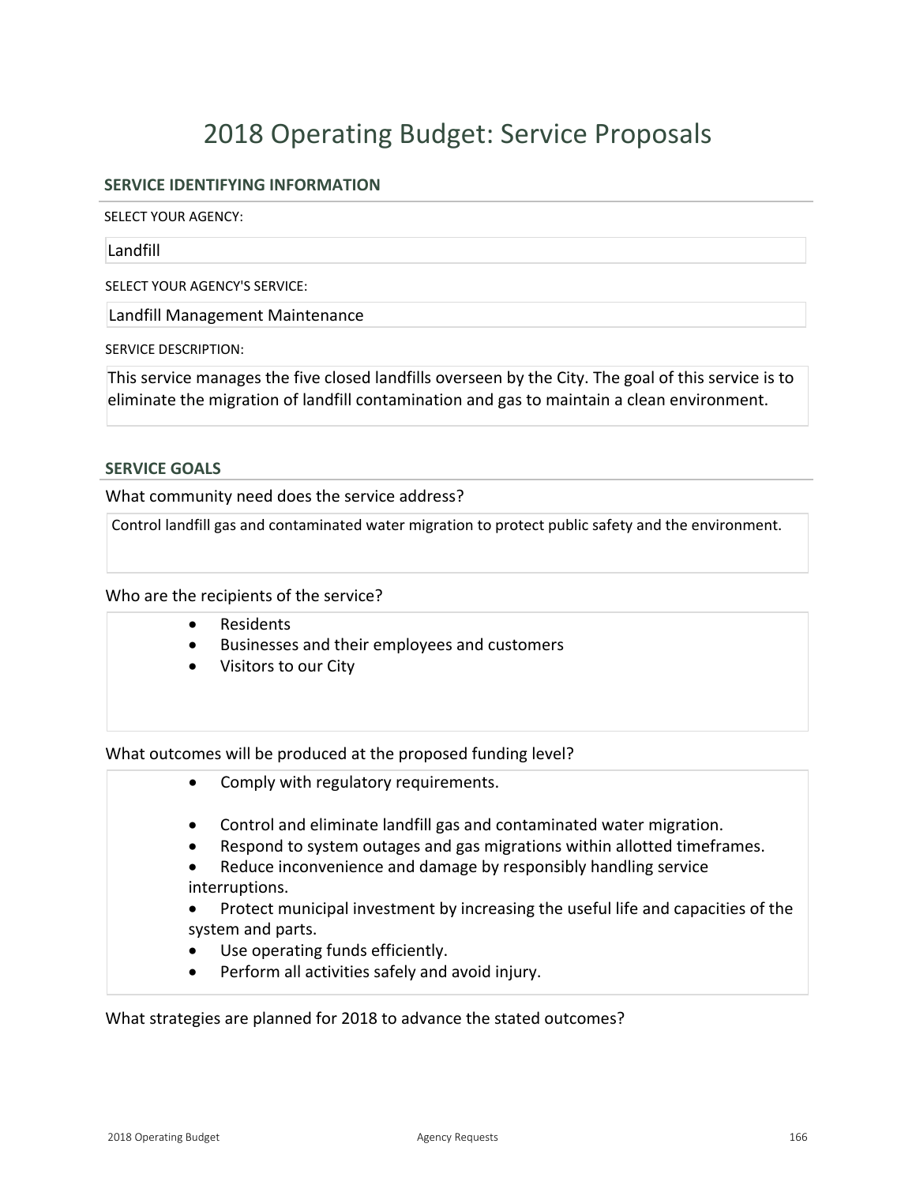# 2018 Operating Budget: Service Proposals

### **SERVICE IDENTIFYING INFORMATION**

SELECT YOUR AGENCY:

Landfill

SELECT YOUR AGENCY'S SERVICE:

Landfill Management Maintenance

SERVICE DESCRIPTION:

This service manages the five closed landfills overseen by the City. The goal of this service is to eliminate the migration of landfill contamination and gas to maintain a clean environment.

#### **SERVICE GOALS**

What community need does the service address?

Control landfill gas and contaminated water migration to protect public safety and the environment.

Who are the recipients of the service?

- Residents
- **•** Businesses and their employees and customers
- Visitors to our City

What outcomes will be produced at the proposed funding level?

- Comply with regulatory requirements.
- Control and eliminate landfill gas and contaminated water migration.
- Respond to system outages and gas migrations within allotted timeframes.
- Reduce inconvenience and damage by responsibly handling service interruptions.
- Protect municipal investment by increasing the useful life and capacities of the system and parts.
- Use operating funds efficiently.
- Perform all activities safely and avoid injury.

What strategies are planned for 2018 to advance the stated outcomes?